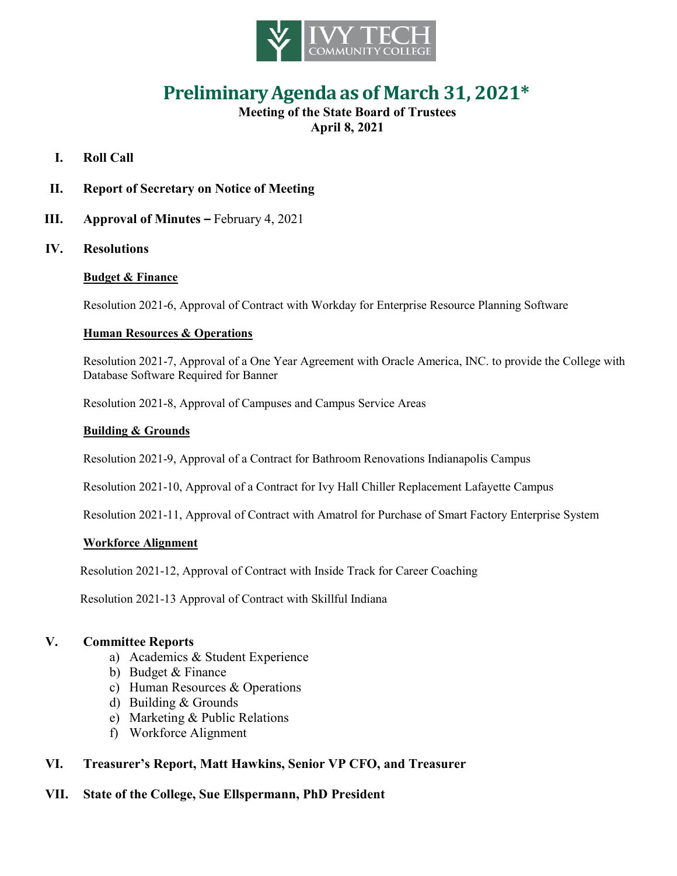

# **PreliminaryAgenda as of March 31, 2021\***

# **Meeting of the State Board of Trustees April 8, 2021**

# **I. Roll Call**

# **II. Report of Secretary on Notice of Meeting**

**III. Approval of Minutes –** February 4, 2021

## **IV. Resolutions**

## **Budget & Finance**

Resolution 2021-6, Approval of Contract with Workday for Enterprise Resource Planning Software

#### **Human Resources & Operations**

Resolution 2021-7, Approval of a One Year Agreement with Oracle America, INC. to provide the College with Database Software Required for Banner

Resolution 2021-8, Approval of Campuses and Campus Service Areas

#### **Building & Grounds**

Resolution 2021-9, Approval of a Contract for Bathroom Renovations Indianapolis Campus

Resolution 2021-10, Approval of a Contract for Ivy Hall Chiller Replacement Lafayette Campus

Resolution 2021-11, Approval of Contract with Amatrol for Purchase of Smart Factory Enterprise System

#### **Workforce Alignment**

Resolution 2021-12, Approval of Contract with Inside Track for Career Coaching

Resolution 2021-13 Approval of Contract with Skillful Indiana

## **V. Committee Reports**

- a) Academics & Student Experience
- b) Budget & Finance
- c) Human Resources & Operations
- d) Building & Grounds
- e) Marketing & Public Relations
- f) Workforce Alignment

# **VI. Treasurer's Report, Matt Hawkins, Senior VP CFO, and Treasurer**

## **VII. State of the College, Sue Ellspermann, PhD President**